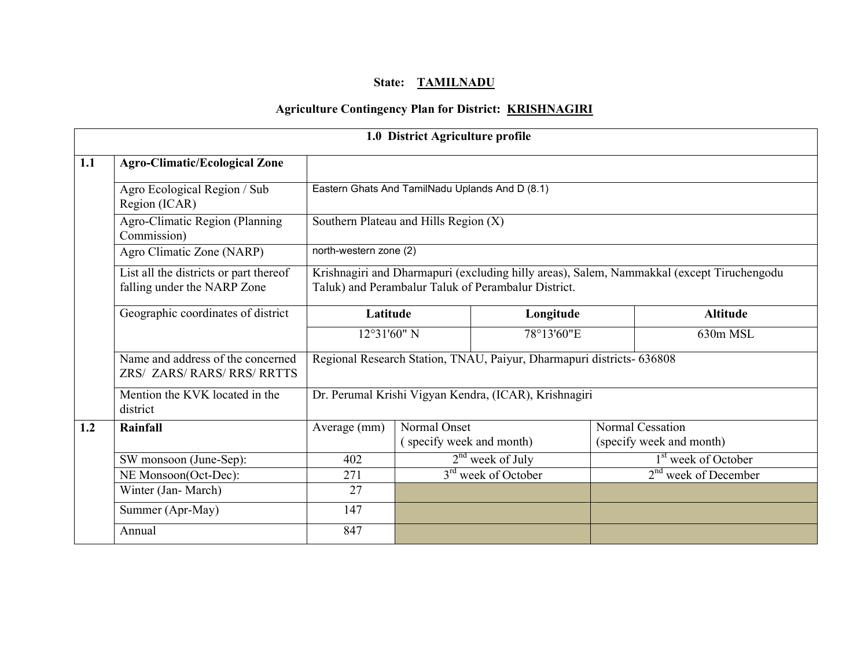# State: TAMILNADU

# Agriculture Contingency Plan for District: KRISHNAGIRI

|                                                                                                                                                                                                                           |                                                                  |                                                       | 1.0 District Agriculture profile                |                                                                       |  |                                                     |  |
|---------------------------------------------------------------------------------------------------------------------------------------------------------------------------------------------------------------------------|------------------------------------------------------------------|-------------------------------------------------------|-------------------------------------------------|-----------------------------------------------------------------------|--|-----------------------------------------------------|--|
| 1.1                                                                                                                                                                                                                       | <b>Agro-Climatic/Ecological Zone</b>                             |                                                       |                                                 |                                                                       |  |                                                     |  |
|                                                                                                                                                                                                                           | Agro Ecological Region / Sub<br>Region (ICAR)                    |                                                       | Eastern Ghats And TamilNadu Uplands And D (8.1) |                                                                       |  |                                                     |  |
|                                                                                                                                                                                                                           | Agro-Climatic Region (Planning<br>Commission)                    | Southern Plateau and Hills Region (X)                 |                                                 |                                                                       |  |                                                     |  |
|                                                                                                                                                                                                                           | Agro Climatic Zone (NARP)                                        | north-western zone (2)                                |                                                 |                                                                       |  |                                                     |  |
| List all the districts or part thereof<br>Krishnagiri and Dharmapuri (excluding hilly areas), Salem, Nammakkal (except Tiruchengodu<br>falling under the NARP Zone<br>Taluk) and Perambalur Taluk of Perambalur District. |                                                                  |                                                       |                                                 |                                                                       |  |                                                     |  |
|                                                                                                                                                                                                                           | Geographic coordinates of district                               | Latitude                                              |                                                 | Longitude                                                             |  | <b>Altitude</b>                                     |  |
|                                                                                                                                                                                                                           |                                                                  | $12°31'60"$ N                                         |                                                 | 78°13'60"E                                                            |  | 630m MSL                                            |  |
|                                                                                                                                                                                                                           | Name and address of the concerned<br>ZRS/ ZARS/ RARS/ RRS/ RRTTS |                                                       |                                                 | Regional Research Station, TNAU, Paiyur, Dharmapuri districts- 636808 |  |                                                     |  |
|                                                                                                                                                                                                                           | Mention the KVK located in the<br>district                       | Dr. Perumal Krishi Vigyan Kendra, (ICAR), Krishnagiri |                                                 |                                                                       |  |                                                     |  |
| 1.2                                                                                                                                                                                                                       | Rainfall                                                         | Average (mm)                                          | Normal Onset<br>(specify week and month)        |                                                                       |  | <b>Normal Cessation</b><br>(specify week and month) |  |
|                                                                                                                                                                                                                           | SW monsoon (June-Sep):                                           | 402                                                   |                                                 | $2nd$ week of July                                                    |  | 1 <sup>st</sup> week of October                     |  |
|                                                                                                                                                                                                                           | NE Monsoon(Oct-Dec):                                             | 271                                                   |                                                 | 3 <sup>rd</sup> week of October                                       |  | $2nd$ week of December                              |  |
|                                                                                                                                                                                                                           | Winter (Jan-March)                                               | 27                                                    |                                                 |                                                                       |  |                                                     |  |
|                                                                                                                                                                                                                           | Summer (Apr-May)                                                 | 147                                                   |                                                 |                                                                       |  |                                                     |  |
|                                                                                                                                                                                                                           | Annual                                                           | 847                                                   |                                                 |                                                                       |  |                                                     |  |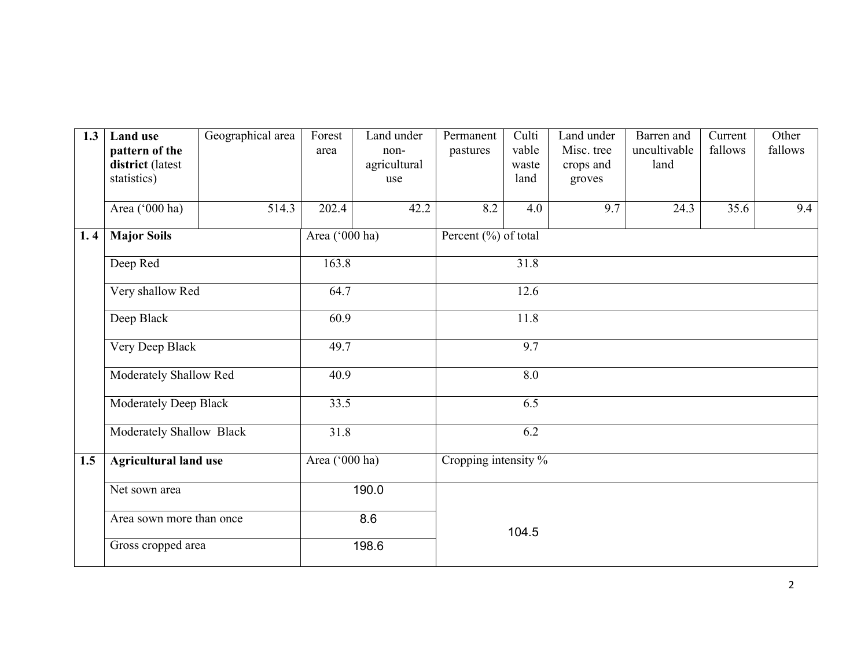| 1.3 | <b>Land use</b><br>pattern of the<br>district (latest<br>statistics) | Geographical area | Forest<br>area | Land under<br>non-<br>agricultural<br>use | Permanent<br>pastures | Culti<br>vable<br>waste<br>land | Land under<br>Misc. tree<br>crops and<br>groves | Barren and<br>uncultivable<br>land | Current<br>fallows | Other<br>fallows |
|-----|----------------------------------------------------------------------|-------------------|----------------|-------------------------------------------|-----------------------|---------------------------------|-------------------------------------------------|------------------------------------|--------------------|------------------|
|     | Area ('000 ha)                                                       | 514.3             | 202.4          | 42.2                                      | 8.2                   | 4.0                             | 9.7                                             | 24.3                               | 35.6               | 9.4              |
| 1.4 | <b>Major Soils</b>                                                   |                   | Area ('000 ha) |                                           | Percent (%) of total  |                                 |                                                 |                                    |                    |                  |
|     | Deep Red                                                             |                   | 163.8          |                                           | 31.8                  |                                 |                                                 |                                    |                    |                  |
|     | Very shallow Red                                                     |                   | 64.7           |                                           | 12.6                  |                                 |                                                 |                                    |                    |                  |
|     | Deep Black                                                           |                   | 60.9           |                                           |                       | 11.8                            |                                                 |                                    |                    |                  |
|     | Very Deep Black                                                      |                   | 49.7           |                                           |                       | 9.7                             |                                                 |                                    |                    |                  |
|     | Moderately Shallow Red                                               |                   | 40.9           |                                           | 8.0                   |                                 |                                                 |                                    |                    |                  |
|     | Moderately Deep Black                                                |                   | 33.5           |                                           | 6.5                   |                                 |                                                 |                                    |                    |                  |
|     | Moderately Shallow Black                                             |                   | 31.8           |                                           |                       | 6.2                             |                                                 |                                    |                    |                  |
| 1.5 | <b>Agricultural land use</b>                                         |                   | Area ('000 ha) |                                           | Cropping intensity %  |                                 |                                                 |                                    |                    |                  |
|     | Net sown area                                                        |                   | 190.0          |                                           |                       |                                 |                                                 |                                    |                    |                  |
|     | Area sown more than once                                             |                   |                | 8.6                                       |                       | 104.5                           |                                                 |                                    |                    |                  |
|     | Gross cropped area                                                   |                   |                | 198.6                                     |                       |                                 |                                                 |                                    |                    |                  |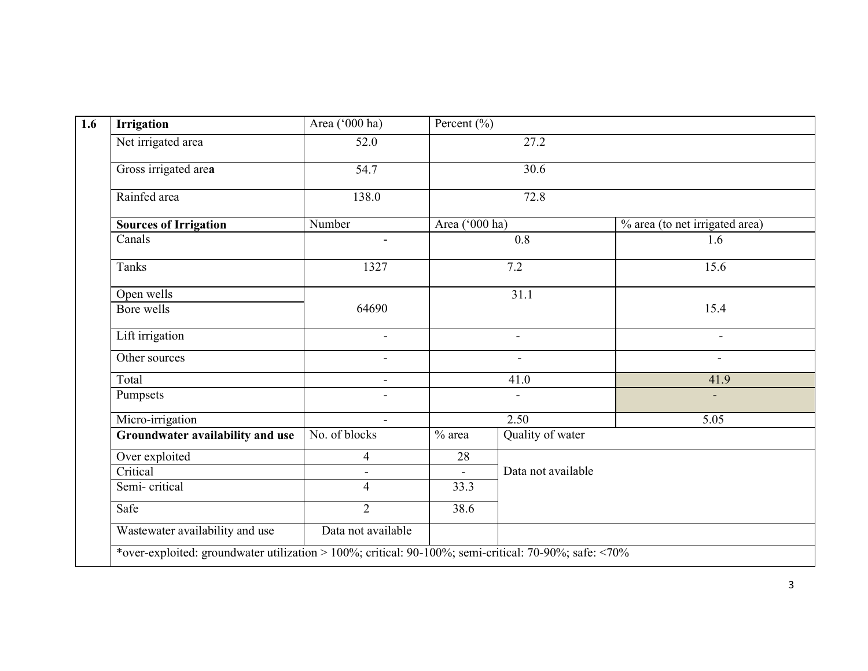| 52.0<br>54.7<br>138.0<br>Number<br>1327<br>64690 | Area ('000 ha) | 27.2<br>$\overline{30.6}$<br>72.8<br>0.8<br>7.2<br>31.1 | % area (to net irrigated area)<br>1.6<br>15.6 |
|--------------------------------------------------|----------------|---------------------------------------------------------|-----------------------------------------------|
|                                                  |                |                                                         |                                               |
|                                                  |                |                                                         |                                               |
|                                                  |                |                                                         |                                               |
|                                                  |                |                                                         |                                               |
|                                                  |                |                                                         |                                               |
|                                                  |                |                                                         |                                               |
|                                                  |                |                                                         |                                               |
|                                                  |                |                                                         | 15.4                                          |
| $\blacksquare$                                   |                | $\blacksquare$                                          | $\sim$                                        |
| $\blacksquare$                                   |                | $\blacksquare$                                          | $\overline{\phantom{a}}$                      |
| $\sim$                                           |                | 41.0                                                    | 41.9                                          |
|                                                  |                |                                                         |                                               |
|                                                  |                | 2.50                                                    | 5.05                                          |
| No. of blocks                                    | $%$ area       | Quality of water                                        |                                               |
| $\overline{4}$                                   | 28             |                                                         |                                               |
| $\blacksquare$                                   |                | Data not available                                      |                                               |
| $\overline{4}$                                   | 33.3           |                                                         |                                               |
|                                                  | 38.6           |                                                         |                                               |
|                                                  |                |                                                         |                                               |
|                                                  | $\overline{2}$ | Data not available                                      |                                               |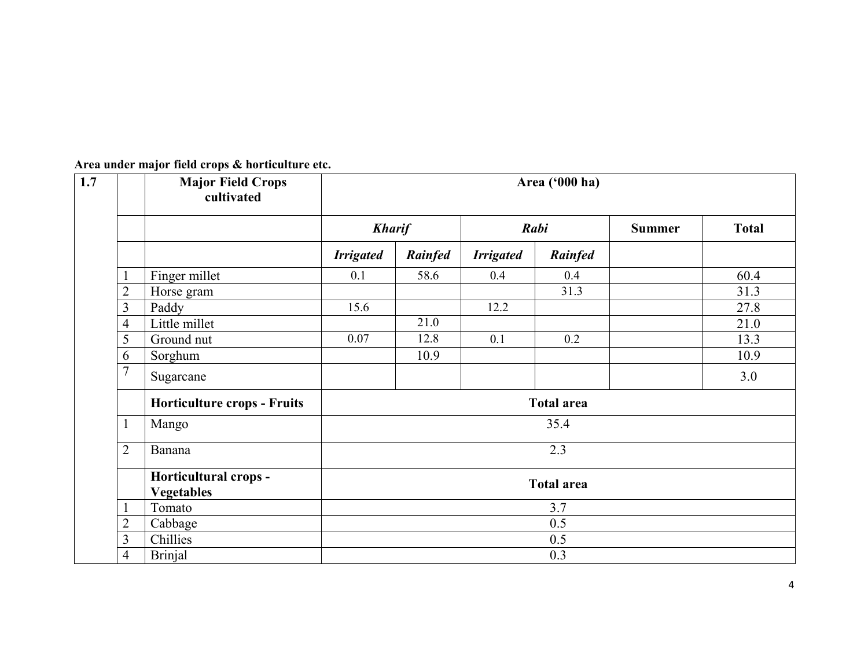|                | <b>Major Field Crops</b><br>cultivated | Area ('000 ha)    |         |                  |                   |               |              |
|----------------|----------------------------------------|-------------------|---------|------------------|-------------------|---------------|--------------|
|                |                                        | <b>Kharif</b>     |         |                  | Rabi              | <b>Summer</b> | <b>Total</b> |
|                |                                        | <b>Irrigated</b>  | Rainfed | <b>Irrigated</b> | Rainfed           |               |              |
| 1              | Finger millet                          | 0.1               | 58.6    | 0.4              | 0.4               |               | 60.4         |
| $\overline{2}$ | Horse gram                             |                   |         |                  | 31.3              |               | 31.3         |
| 3              | Paddy                                  | 15.6              |         | 12.2             |                   |               | 27.8         |
| $\overline{4}$ | Little millet                          |                   | 21.0    |                  |                   |               | 21.0         |
| 5              | Ground nut                             | 0.07              | 12.8    | 0.1              | 0.2               |               | 13.3         |
| 6              | Sorghum                                |                   | 10.9    |                  |                   |               | 10.9         |
| $\overline{7}$ | Sugarcane                              |                   |         |                  |                   |               | 3.0          |
|                | <b>Horticulture crops - Fruits</b>     | <b>Total area</b> |         |                  |                   |               |              |
| 1              | Mango                                  |                   |         |                  | 35.4              |               |              |
| $\overline{2}$ | Banana                                 |                   |         |                  | 2.3               |               |              |
|                | Horticultural crops -                  |                   |         |                  | <b>Total area</b> |               |              |
|                | <b>Vegetables</b>                      |                   |         |                  |                   |               |              |
| 1              | Tomato                                 |                   |         |                  | 3.7               |               |              |
| $\overline{2}$ | Cabbage                                |                   |         |                  | 0.5               |               |              |
| 3              | Chillies                               |                   |         |                  | 0.5               |               |              |
| $\overline{4}$ | <b>Brinjal</b>                         |                   |         |                  | 0.3               |               |              |

Area under major field crops & horticulture etc.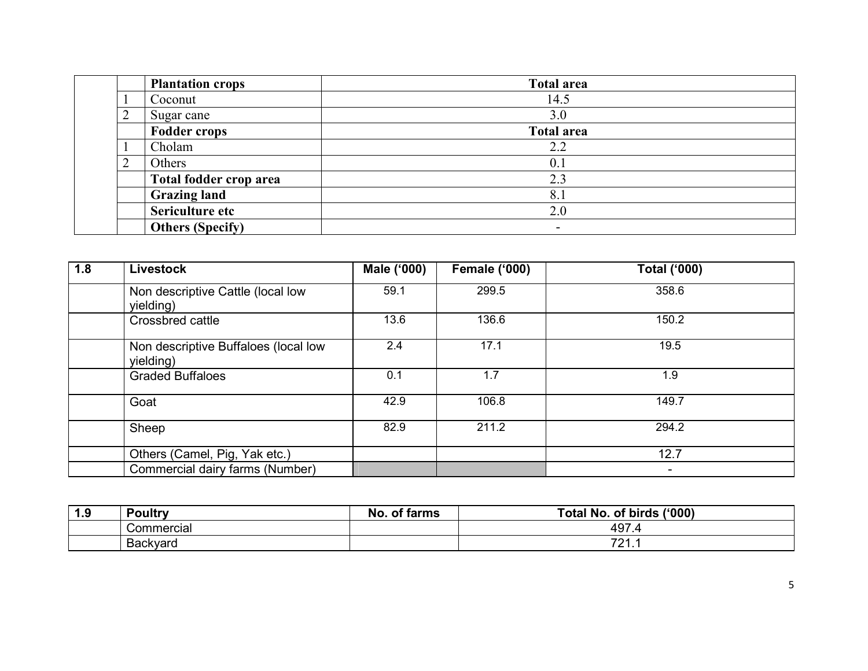|   | <b>Plantation crops</b> | <b>Total area</b> |
|---|-------------------------|-------------------|
|   | Coconut                 | 14.5              |
| ∠ | Sugar cane              | 3.0               |
|   | <b>Fodder crops</b>     | <b>Total area</b> |
|   | Cholam                  | 2.2               |
|   | Others                  | 0.1               |
|   | Total fodder crop area  | 2.3               |
|   | <b>Grazing land</b>     | 8.1               |
|   | Sericulture etc         | 2.0               |
|   | <b>Others (Specify)</b> | $\sim$            |

| 1.8 | <b>Livestock</b>                                  | Male ('000) | <b>Female ('000)</b> | <b>Total ('000)</b>      |
|-----|---------------------------------------------------|-------------|----------------------|--------------------------|
|     | Non descriptive Cattle (local low<br>yielding)    | 59.1        | 299.5                | 358.6                    |
|     | Crossbred cattle                                  | 13.6        | 136.6                | 150.2                    |
|     | Non descriptive Buffaloes (local low<br>yielding) | 2.4         | 17.1                 | 19.5                     |
|     | <b>Graded Buffaloes</b>                           | 0.1         | 1.7                  | 1.9                      |
|     | Goat                                              | 42.9        | 106.8                | 149.7                    |
|     | Sheep                                             | 82.9        | 211.2                | 294.2                    |
|     | Others (Camel, Pig, Yak etc.)                     |             |                      | 12.7                     |
|     | Commercial dairy farms (Number)                   |             |                      | $\overline{\phantom{a}}$ |

| $\Omega$<br> | <b>Poultry</b> | . .<br>.Nc<br>tarme<br>$\sim$<br>פווווסו | ('000)<br>Total No.<br>of birds |
|--------------|----------------|------------------------------------------|---------------------------------|
|              | Commercial     |                                          | 497<br>$\cdot$ $\cdot$          |
|              | Backvard       |                                          | 704<br><b>4</b>                 |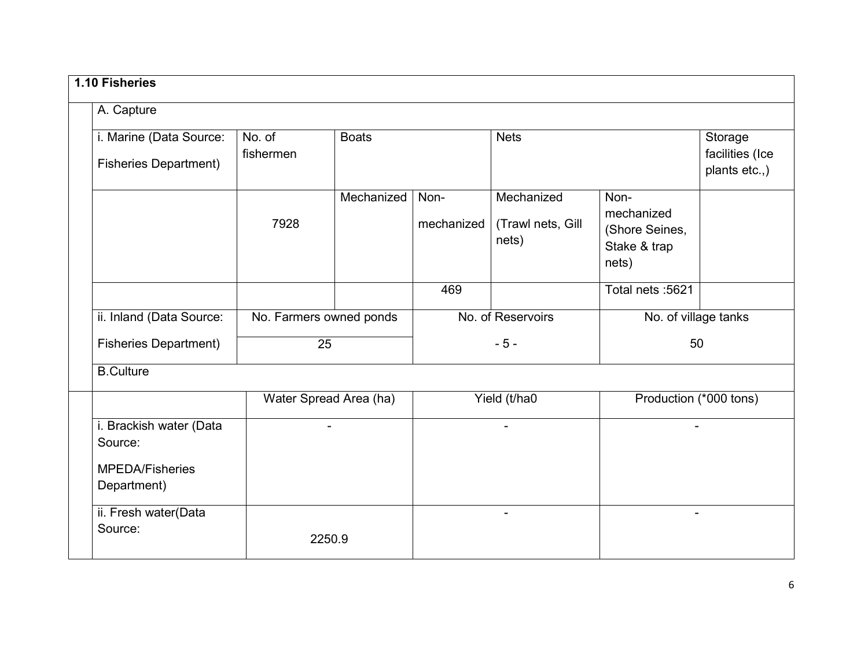| A. Capture                                                                  |                         |                        |                    |                                          |                                                               |  |
|-----------------------------------------------------------------------------|-------------------------|------------------------|--------------------|------------------------------------------|---------------------------------------------------------------|--|
| i. Marine (Data Source:<br><b>Fisheries Department)</b>                     | No. of<br>fishermen     | <b>Boats</b>           |                    | <b>Nets</b>                              | Storage<br>facilities (Ice<br>plants etc.,)                   |  |
|                                                                             | 7928                    | Mechanized             | Non-<br>mechanized | Mechanized<br>(Trawl nets, Gill<br>nets) | Non-<br>mechanized<br>(Shore Seines,<br>Stake & trap<br>nets) |  |
|                                                                             |                         |                        | 469                |                                          | Total nets: 5621                                              |  |
| ii. Inland (Data Source:                                                    | No. Farmers owned ponds |                        |                    | No. of Reservoirs                        | No. of village tanks                                          |  |
| <b>Fisheries Department)</b>                                                | 25                      |                        | $-5-$              |                                          | 50                                                            |  |
| <b>B.Culture</b>                                                            |                         |                        |                    |                                          |                                                               |  |
|                                                                             |                         | Water Spread Area (ha) |                    | Yield (t/ha0                             | Production (*000 tons)                                        |  |
| i. Brackish water (Data<br>Source:<br><b>MPEDA/Fisheries</b><br>Department) |                         | $\blacksquare$         |                    | $\overline{a}$                           | $\blacksquare$                                                |  |
| ii. Fresh water(Data<br>Source:                                             |                         | 2250.9                 |                    | $\blacksquare$                           | ۰                                                             |  |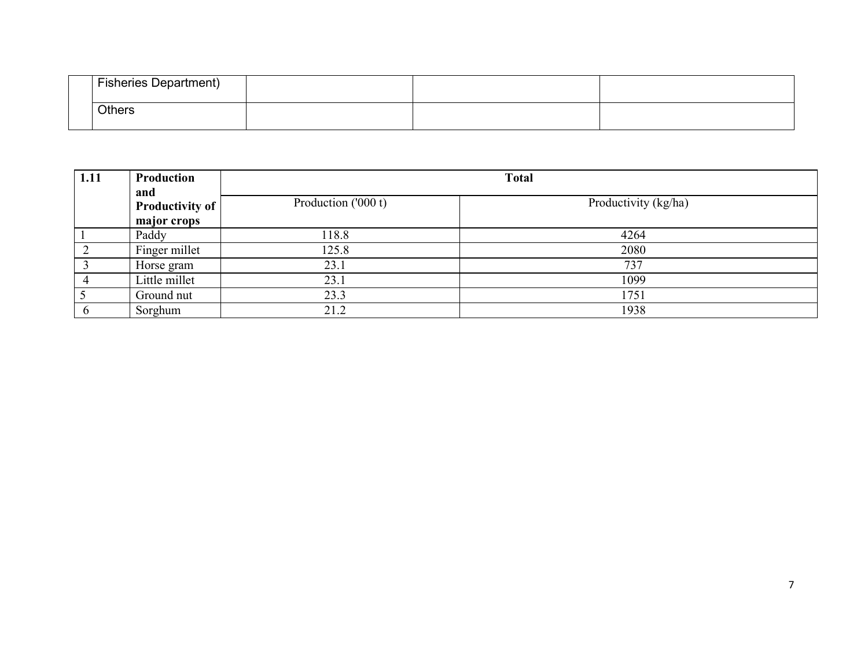| <b>Fisheries Department)</b> |  |
|------------------------------|--|
| <b>Others</b>                |  |

| 1.11 | Production<br>and      |                     | <b>Total</b>         |  |  |  |
|------|------------------------|---------------------|----------------------|--|--|--|
|      | <b>Productivity of</b> | Production ('000 t) | Productivity (kg/ha) |  |  |  |
|      | major crops            |                     |                      |  |  |  |
|      | Paddy                  | 118.8               | 4264                 |  |  |  |
|      | Finger millet          | 125.8               | 2080                 |  |  |  |
|      | Horse gram             | 23.1                | 737                  |  |  |  |
|      | Little millet          | 23.1                | 1099                 |  |  |  |
|      | Ground nut             | 23.3                | 1751                 |  |  |  |
|      | Sorghum                | 21.2                | 1938                 |  |  |  |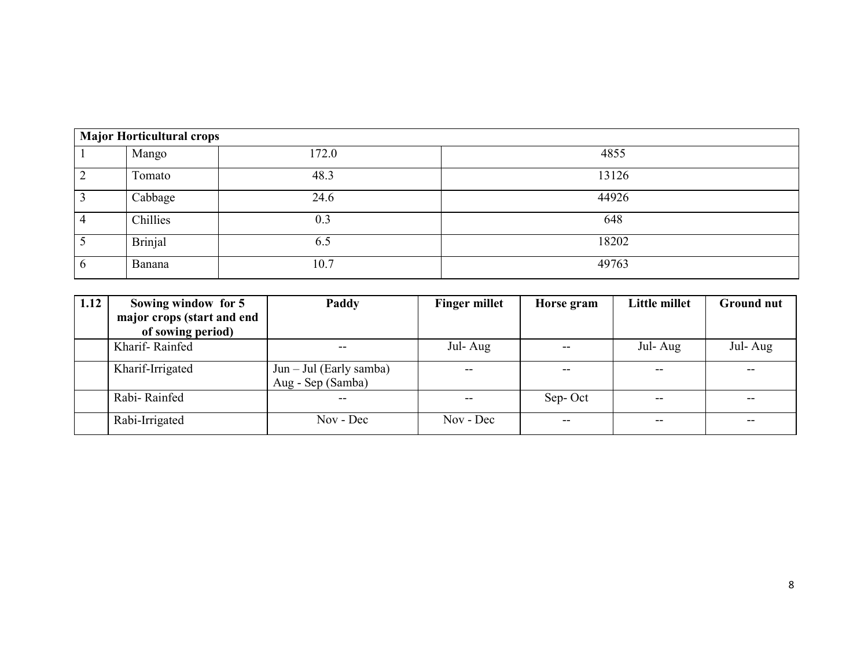| <b>Major Horticultural crops</b> |                |       |       |  |  |  |  |
|----------------------------------|----------------|-------|-------|--|--|--|--|
|                                  | Mango          | 172.0 | 4855  |  |  |  |  |
|                                  | Tomato         | 48.3  | 13126 |  |  |  |  |
|                                  | Cabbage        | 24.6  | 44926 |  |  |  |  |
| 4                                | Chillies       | 0.3   | 648   |  |  |  |  |
|                                  | <b>Brinjal</b> | 6.5   | 18202 |  |  |  |  |
| 6                                | <b>Banana</b>  | 10.7  | 49763 |  |  |  |  |

| 1.12 | Sowing window for 5        | Paddy                                          | <b>Finger millet</b> | Horse gram | Little millet | <b>Ground nut</b> |
|------|----------------------------|------------------------------------------------|----------------------|------------|---------------|-------------------|
|      | major crops (start and end |                                                |                      |            |               |                   |
|      | of sowing period)          |                                                |                      |            |               |                   |
|      | Kharif-Rainfed             |                                                | Jul-Aug              |            | Jul-Aug       | Jul-Aug           |
|      | Kharif-Irrigated           | $Jun - Jul$ (Early samba)<br>Aug - Sep (Samba) |                      |            |               |                   |
|      | Rabi-Rainfed               |                                                |                      | Sep-Oct    | $- -$         |                   |
|      | Rabi-Irrigated             | Nov - Dec                                      | Nov - Dec            | --         | --            | --                |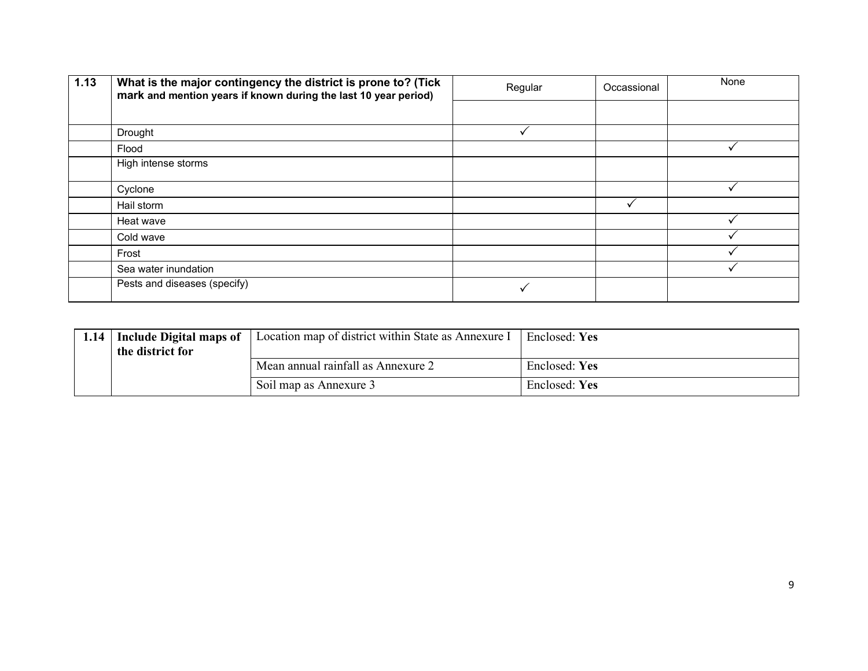| 1.13 | What is the major contingency the district is prone to? (Tick<br>mark and mention years if known during the last 10 year period) | Regular | Occassional | None |
|------|----------------------------------------------------------------------------------------------------------------------------------|---------|-------------|------|
|      |                                                                                                                                  |         |             |      |
|      | Drought                                                                                                                          |         |             |      |
|      | Flood                                                                                                                            |         |             |      |
|      | High intense storms                                                                                                              |         |             |      |
|      | Cyclone                                                                                                                          |         |             |      |
|      | Hail storm                                                                                                                       |         |             |      |
|      | Heat wave                                                                                                                        |         |             |      |
|      | Cold wave                                                                                                                        |         |             |      |
|      | Frost                                                                                                                            |         |             |      |
|      | Sea water inundation                                                                                                             |         |             |      |
|      | Pests and diseases (specify)                                                                                                     |         |             |      |

|  | 1.14   Include Digital maps of<br>the district for | Location map of district within State as Annexure I | Enclosed: Yes |
|--|----------------------------------------------------|-----------------------------------------------------|---------------|
|  |                                                    | Mean annual rainfall as Annexure 2                  | Enclosed: Yes |
|  |                                                    | Soil map as Annexure 3                              | Enclosed: Yes |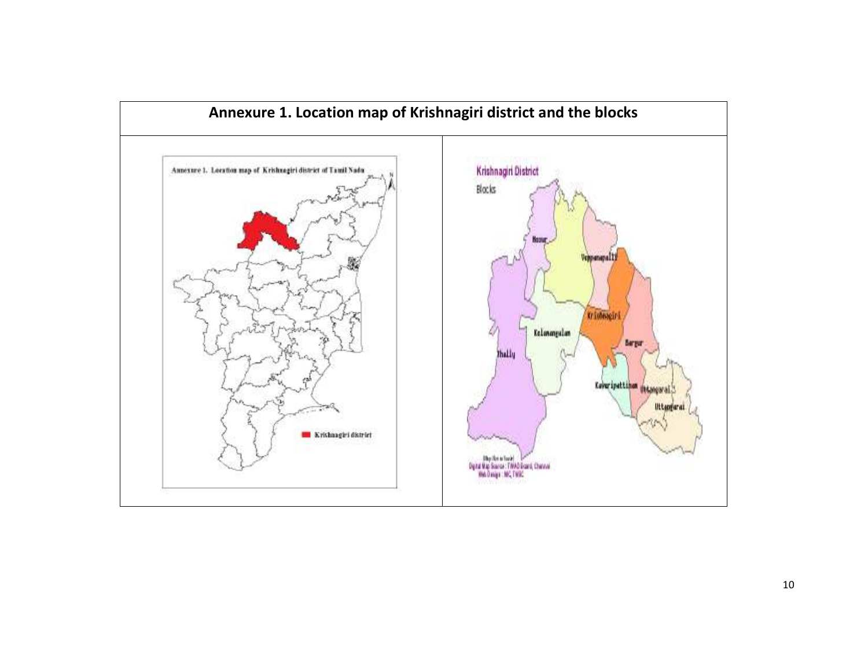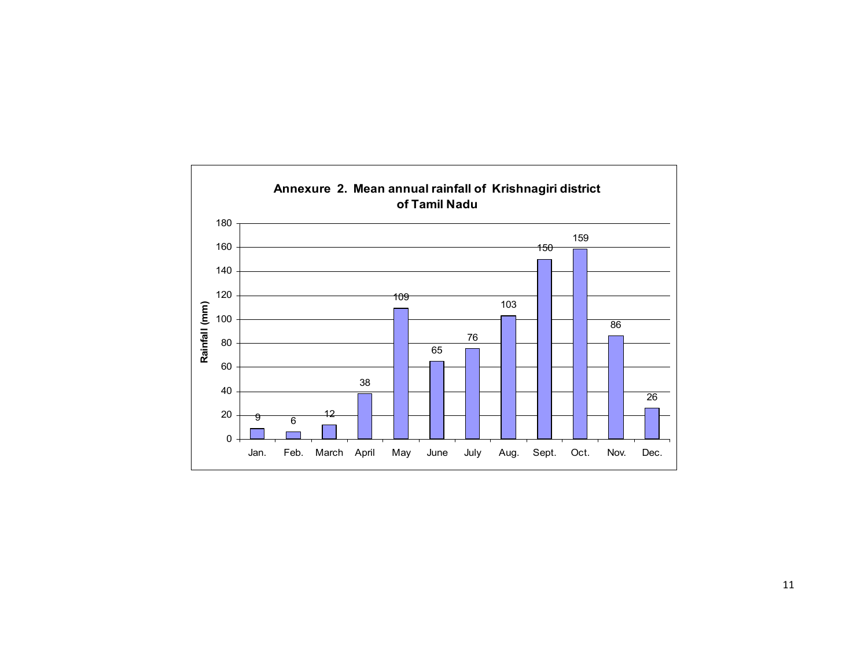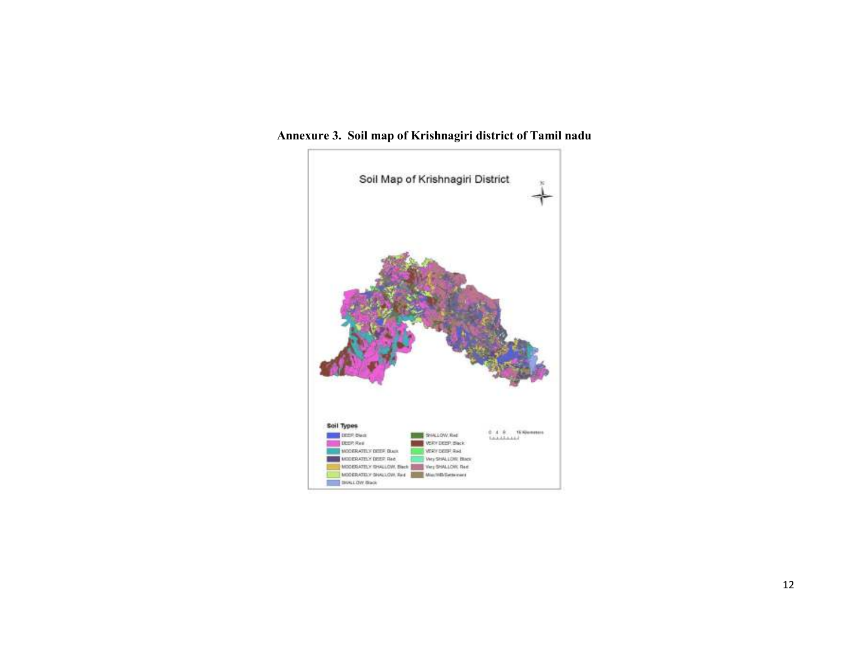

Annexure 3. Soil map of Krishnagiri district of Tamil nadu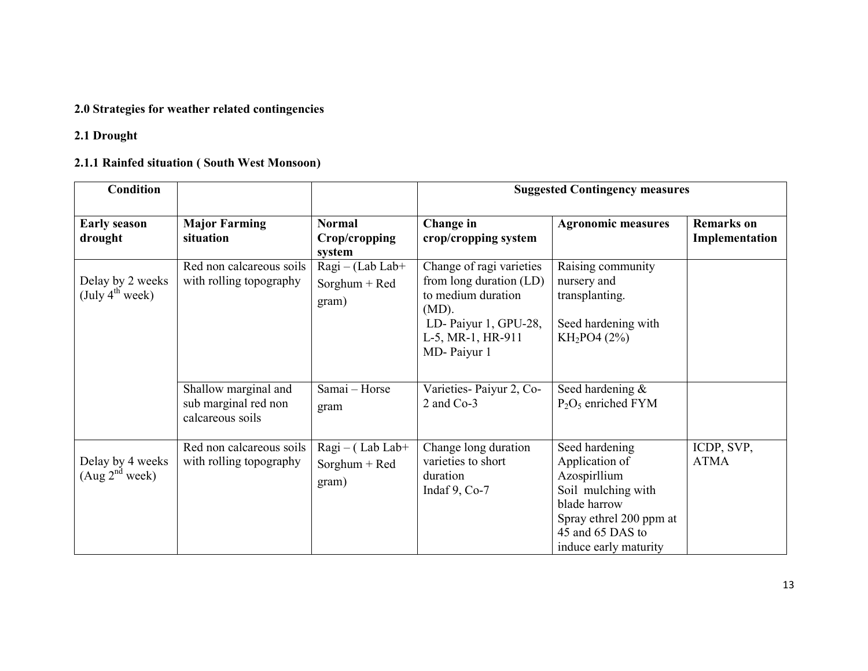## 2.0 Strategies for weather related contingencies

# 2.1 Drought

# 2.1.1 Rainfed situation ( South West Monsoon)

| <b>Condition</b>                                |                                                                  |                                                 | <b>Suggested Contingency measures</b>                                                                                                             |                                                                                                                                                                |                                     |  |
|-------------------------------------------------|------------------------------------------------------------------|-------------------------------------------------|---------------------------------------------------------------------------------------------------------------------------------------------------|----------------------------------------------------------------------------------------------------------------------------------------------------------------|-------------------------------------|--|
| <b>Early season</b><br>drought                  | <b>Major Farming</b><br>situation                                | <b>Normal</b><br>Crop/cropping<br>system        | Change in<br>crop/cropping system                                                                                                                 | <b>Agronomic measures</b>                                                                                                                                      | <b>Remarks</b> on<br>Implementation |  |
| Delay by 2 weeks<br>(July 4 <sup>th</sup> week) | Red non calcareous soils<br>with rolling topography              | $Ragi - (Lab Lab +$<br>$Sorghum + Red$<br>gram) | Change of ragi varieties<br>from long duration (LD)<br>to medium duration<br>$(MD)$ .<br>LD-Paiyur 1, GPU-28,<br>L-5, MR-1, HR-911<br>MD-Paiyur 1 | Raising community<br>nursery and<br>transplanting.<br>Seed hardening with<br>$KH_2PO4(2%)$                                                                     |                                     |  |
|                                                 | Shallow marginal and<br>sub marginal red non<br>calcareous soils | Samai - Horse<br>gram                           | Varieties-Paiyur 2, Co-<br>2 and Co-3                                                                                                             | Seed hardening &<br>$P_2O_5$ enriched FYM                                                                                                                      |                                     |  |
| Delay by 4 weeks<br>(Aug 2 <sup>nd</sup> week)  | Red non calcareous soils<br>with rolling topography              | $Ragi - (Lab Lab +$<br>Sorghum + Red<br>gram)   | Change long duration<br>varieties to short<br>duration<br>Indaf $9, Co-7$                                                                         | Seed hardening<br>Application of<br>Azospirllium<br>Soil mulching with<br>blade harrow<br>Spray ethrel 200 ppm at<br>45 and 65 DAS to<br>induce early maturity | ICDP, SVP,<br><b>ATMA</b>           |  |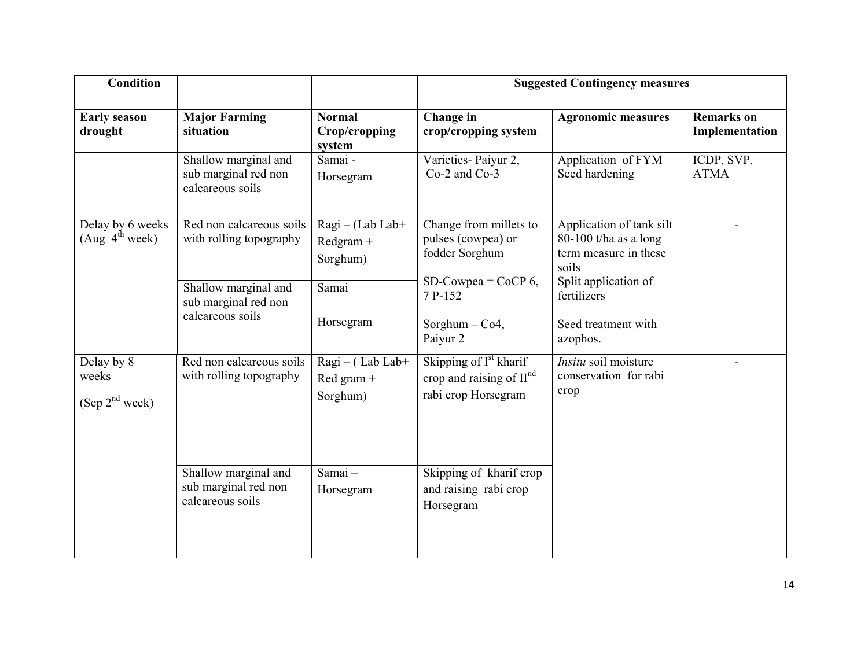| <b>Condition</b>                                  |                                                                  |                                              | <b>Suggested Contingency measures</b>                                                                                                                 |                                                                        |                                     |  |
|---------------------------------------------------|------------------------------------------------------------------|----------------------------------------------|-------------------------------------------------------------------------------------------------------------------------------------------------------|------------------------------------------------------------------------|-------------------------------------|--|
| <b>Early season</b><br>drought                    | <b>Major Farming</b><br>situation                                | <b>Normal</b><br>Crop/cropping<br>system     | Change in<br>crop/cropping system                                                                                                                     | <b>Agronomic measures</b>                                              | <b>Remarks</b> on<br>Implementation |  |
|                                                   | Shallow marginal and<br>sub marginal red non<br>calcareous soils | Samai-<br>Horsegram                          | Varieties-Paiyur 2,<br>Co-2 and Co-3                                                                                                                  | Application of FYM<br>Seed hardening                                   | ICDP, SVP,<br><b>ATMA</b>           |  |
| Delay by 6 weeks<br>(Aug 4 <sup>th</sup> week)    | Red non calcareous soils<br>with rolling topography              | $Ragi - (Lab Lab +$<br>Redgram +<br>Sorghum) | Change from millets to<br>Application of tank silt<br>pulses (cowpea) or<br>80-100 t/ha as a long<br>fodder Sorghum<br>term measure in these<br>soils |                                                                        |                                     |  |
|                                                   | Shallow marginal and<br>sub marginal red non<br>calcareous soils | Samai<br>Horsegram                           | SD-Cowpea = $CoCP 6$ ,<br>7 P-152<br>Sorghum $-$ Co4,<br>Paiyur 2                                                                                     | Split application of<br>fertilizers<br>Seed treatment with<br>azophos. |                                     |  |
| Delay by 8<br>weeks<br>(Sep 2 <sup>nd</sup> week) | Red non calcareous soils<br>with rolling topography              | Ragi - (Lab Lab+<br>Red gram +<br>Sorghum)   | Skipping of I <sup>st</sup> kharif<br>crop and raising of II <sup>nd</sup><br>rabi crop Horsegram                                                     | <i>Insitu</i> soil moisture<br>conservation for rabi<br>crop           |                                     |  |
|                                                   | Shallow marginal and<br>sub marginal red non<br>calcareous soils | Samai-<br>Horsegram                          | Skipping of kharif crop<br>and raising rabi crop<br>Horsegram                                                                                         |                                                                        |                                     |  |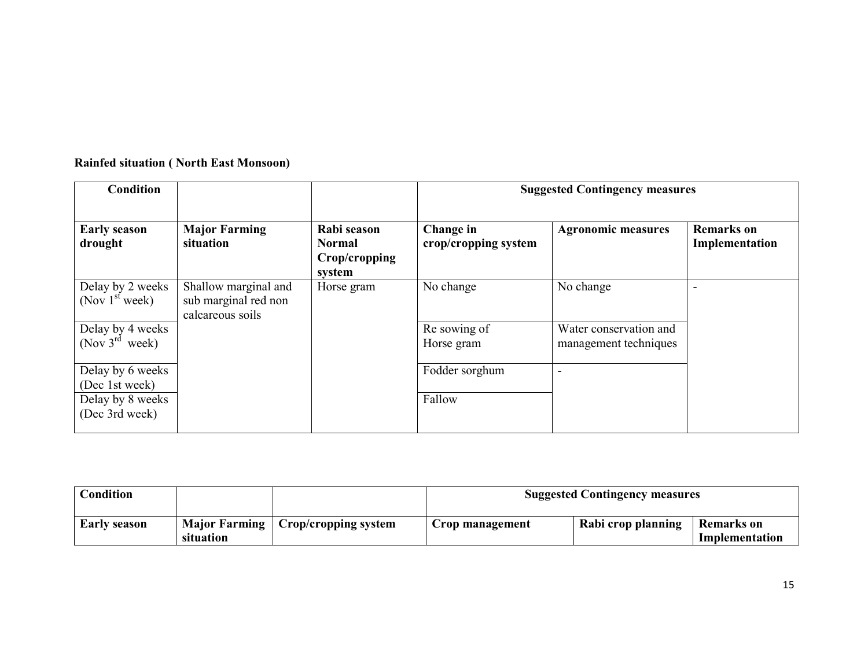| <b>Condition</b>                                                         |                                                                  |                                                         | <b>Suggested Contingency measures</b> |                                                 |                                     |
|--------------------------------------------------------------------------|------------------------------------------------------------------|---------------------------------------------------------|---------------------------------------|-------------------------------------------------|-------------------------------------|
| <b>Early season</b><br>drought                                           | <b>Major Farming</b><br>situation                                | Rabi season<br><b>Normal</b><br>Crop/cropping<br>system | Change in<br>crop/cropping system     | <b>Agronomic measures</b>                       | <b>Remarks</b> on<br>Implementation |
| Delay by 2 weeks<br>(Nov $1st$ week)                                     | Shallow marginal and<br>sub marginal red non<br>calcareous soils | Horse gram                                              | No change                             | No change                                       | $\overline{\phantom{0}}$            |
| Delay by 4 weeks<br>(Nov $3^{rd}$ week)                                  |                                                                  |                                                         | Re sowing of<br>Horse gram            | Water conservation and<br>management techniques |                                     |
| Delay by 6 weeks<br>(Dec 1st week)<br>Delay by 8 weeks<br>(Dec 3rd week) |                                                                  |                                                         | Fodder sorghum<br>Fallow              | -                                               |                                     |

## Rainfed situation ( North East Monsoon)

| Condition           |                                   |                             | <b>Suggested Contingency measures</b> |                    |                                     |
|---------------------|-----------------------------------|-----------------------------|---------------------------------------|--------------------|-------------------------------------|
| <b>Early season</b> | <b>Major Farming</b><br>situation | $\mid$ Crop/cropping system | Crop management                       | Rabi crop planning | <b>Remarks</b> on<br>Implementation |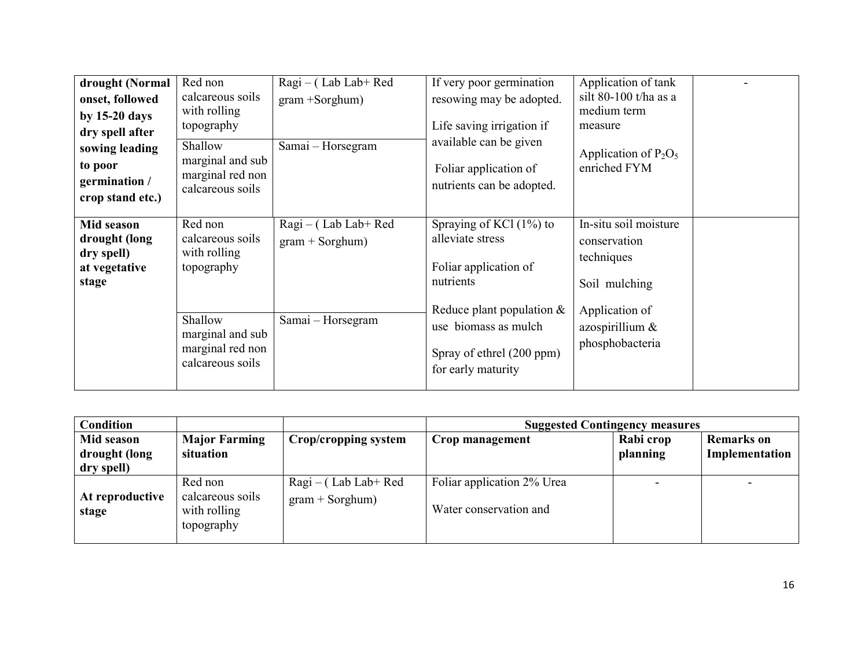| drought (Normal<br>onset, followed<br>by $15-20$ days<br>dry spell after<br>sowing leading<br>to poor<br>germination /<br>crop stand etc.) | Red non<br>calcareous soils<br>with rolling<br>topography<br>Shallow<br>marginal and sub<br>marginal red non<br>calcareous soils | Ragi – (Lab Lab+ Red<br>$gram + Sorghum)$<br>Samai – Horsegram     | If very poor germination<br>resowing may be adopted.<br>Life saving irrigation if<br>available can be given<br>Foliar application of<br>nutrients can be adopted.                            | Application of tank<br>silt 80-100 t/ha as a<br>medium term<br>measure<br>Application of $P_2O_5$<br>enriched FYM            |
|--------------------------------------------------------------------------------------------------------------------------------------------|----------------------------------------------------------------------------------------------------------------------------------|--------------------------------------------------------------------|----------------------------------------------------------------------------------------------------------------------------------------------------------------------------------------------|------------------------------------------------------------------------------------------------------------------------------|
| Mid season<br>drought (long<br>dry spell)<br>at vegetative<br>stage                                                                        | Red non<br>calcareous soils<br>with rolling<br>topography<br>Shallow<br>marginal and sub<br>marginal red non<br>calcareous soils | $Ragi - (Lab Lab + Red)$<br>$gram + Sorghum)$<br>Samai – Horsegram | Spraying of KCl (1%) to<br>alleviate stress<br>Foliar application of<br>nutrients<br>Reduce plant population $\&$<br>use biomass as mulch<br>Spray of ethrel (200 ppm)<br>for early maturity | In-situ soil moisture<br>conservation<br>techniques<br>Soil mulching<br>Application of<br>azospirillium &<br>phosphobacteria |

| <b>Condition</b>         |                                                |                      | <b>Suggested Contingency measures</b> |           |                   |
|--------------------------|------------------------------------------------|----------------------|---------------------------------------|-----------|-------------------|
| Mid season               | <b>Major Farming</b>                           | Crop/cropping system | Crop management                       | Rabi crop | <b>Remarks</b> on |
| drought (long            | situation                                      |                      |                                       | planning  | Implementation    |
| dry spell)               |                                                |                      |                                       |           |                   |
|                          | Red non                                        | Ragi – (Lab Lab+ Red | Foliar application 2% Urea            |           |                   |
| At reproductive<br>stage | calcareous soils<br>with rolling<br>topography | $gram + Sorghum)$    | Water conservation and                |           |                   |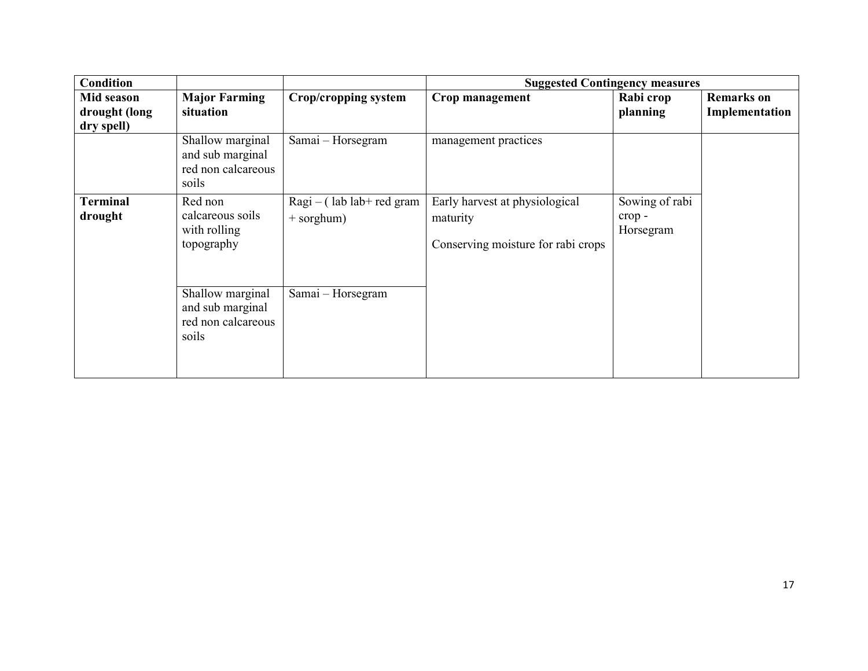| <b>Condition</b>                          |                                                                     |                                               |                                                                                  | <b>Suggested Contingency measures</b> |                                     |
|-------------------------------------------|---------------------------------------------------------------------|-----------------------------------------------|----------------------------------------------------------------------------------|---------------------------------------|-------------------------------------|
| Mid season<br>drought (long<br>dry spell) | <b>Major Farming</b><br>situation                                   | <b>Crop/cropping system</b>                   | Crop management                                                                  | Rabi crop<br>planning                 | <b>Remarks</b> on<br>Implementation |
|                                           | Shallow marginal<br>and sub marginal<br>red non calcareous<br>soils | Samai - Horsegram                             | management practices                                                             |                                       |                                     |
| <b>Terminal</b><br>drought                | Red non<br>calcareous soils<br>with rolling<br>topography           | $Ragi - (lab lab + red gram)$<br>$+$ sorghum) | Early harvest at physiological<br>maturity<br>Conserving moisture for rabi crops | Sowing of rabi<br>crop-<br>Horsegram  |                                     |
|                                           | Shallow marginal<br>and sub marginal<br>red non calcareous<br>soils | Samai – Horsegram                             |                                                                                  |                                       |                                     |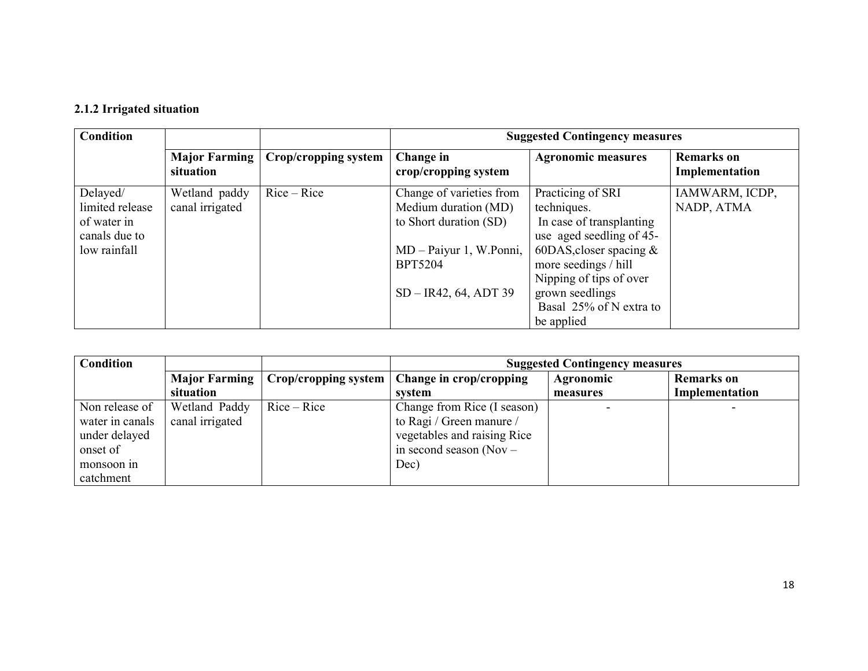## 2.1.2 Irrigated situation

| <b>Condition</b> |                            |                             |                                   | <b>Suggested Contingency measures</b> |                                     |  |  |
|------------------|----------------------------|-----------------------------|-----------------------------------|---------------------------------------|-------------------------------------|--|--|
|                  | Major Farming<br>situation | <b>Crop/cropping system</b> | Change in<br>crop/cropping system | <b>Agronomic measures</b>             | <b>Remarks</b> on<br>Implementation |  |  |
| Delayed/         | Wetland paddy              | $Rice - Rice$               | Change of varieties from          | Practicing of SRI                     | IAMWARM, ICDP,                      |  |  |
| limited release  | canal irrigated            |                             | Medium duration (MD)              | techniques.                           | NADP, ATMA                          |  |  |
| of water in      |                            |                             | to Short duration (SD)            | In case of transplanting              |                                     |  |  |
| canals due to    |                            |                             |                                   | use aged seedling of 45-              |                                     |  |  |
| low rainfall     |                            |                             | MD – Paiyur 1, W.Ponni,           | 60DAS, closer spacing $\&$            |                                     |  |  |
|                  |                            |                             | <b>BPT5204</b>                    | more seedings / hill                  |                                     |  |  |
|                  |                            |                             |                                   | Nipping of tips of over               |                                     |  |  |
|                  |                            |                             | $SD - IR42, 64, ADT39$            | grown seedlings                       |                                     |  |  |
|                  |                            |                             |                                   | Basal 25% of N extra to               |                                     |  |  |
|                  |                            |                             |                                   | be applied                            |                                     |  |  |

| <b>Condition</b> |                      |                      | <b>Suggested Contingency measures</b> |           |                   |  |
|------------------|----------------------|----------------------|---------------------------------------|-----------|-------------------|--|
|                  | <b>Major Farming</b> | Crop/cropping system | Change in crop/cropping               | Agronomic | <b>Remarks</b> on |  |
|                  | situation            |                      | system                                | measures  | Implementation    |  |
| Non release of   | Wetland Paddy        | $Rice - Rice$        | Change from Rice (I season)           |           |                   |  |
| water in canals  | canal irrigated      |                      | to Ragi / Green manure /              |           |                   |  |
| under delayed    |                      |                      | vegetables and raising Rice           |           |                   |  |
| onset of         |                      |                      | in second season (Nov $-$             |           |                   |  |
| monsoon in       |                      |                      | Dec)                                  |           |                   |  |
| catchment        |                      |                      |                                       |           |                   |  |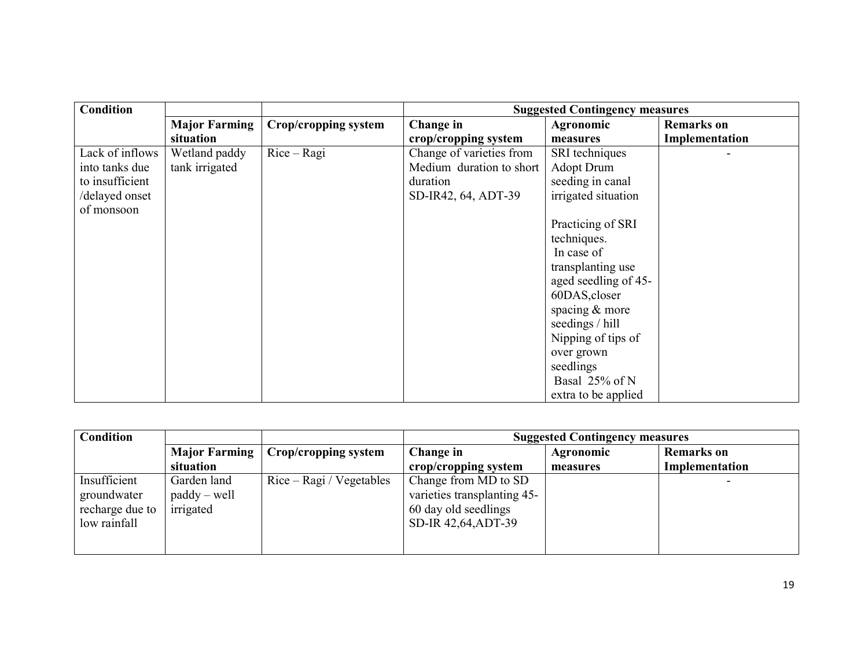| <b>Condition</b> |                      |                      |                          | <b>Suggested Contingency measures</b> |                   |
|------------------|----------------------|----------------------|--------------------------|---------------------------------------|-------------------|
|                  | <b>Major Farming</b> | Crop/cropping system | Change in                | Agronomic                             | <b>Remarks</b> on |
|                  | situation            |                      | crop/cropping system     | measures                              | Implementation    |
| Lack of inflows  | Wetland paddy        | $Rice - Ragi$        | Change of varieties from | SRI techniques                        |                   |
| into tanks due   | tank irrigated       |                      | Medium duration to short | <b>Adopt Drum</b>                     |                   |
| to insufficient  |                      |                      | duration                 | seeding in canal                      |                   |
| /delayed onset   |                      |                      | SD-IR42, 64, ADT-39      | irrigated situation                   |                   |
| of monsoon       |                      |                      |                          |                                       |                   |
|                  |                      |                      |                          | Practicing of SRI                     |                   |
|                  |                      |                      |                          | techniques.                           |                   |
|                  |                      |                      |                          | In case of                            |                   |
|                  |                      |                      |                          | transplanting use                     |                   |
|                  |                      |                      |                          | aged seedling of 45-                  |                   |
|                  |                      |                      |                          | 60DAS, closer                         |                   |
|                  |                      |                      |                          | spacing & more                        |                   |
|                  |                      |                      |                          | seedings / hill                       |                   |
|                  |                      |                      |                          | Nipping of tips of                    |                   |
|                  |                      |                      |                          | over grown                            |                   |
|                  |                      |                      |                          | seedlings                             |                   |
|                  |                      |                      |                          | Basal 25% of N                        |                   |
|                  |                      |                      |                          | extra to be applied                   |                   |

| <b>Condition</b>                                               |                                            |                            |                                                                                                    | <b>Suggested Contingency measures</b> |                   |
|----------------------------------------------------------------|--------------------------------------------|----------------------------|----------------------------------------------------------------------------------------------------|---------------------------------------|-------------------|
|                                                                | Major Farming                              | Crop/cropping system       | Change in                                                                                          | Agronomic                             | <b>Remarks</b> on |
|                                                                | situation                                  |                            | crop/cropping system                                                                               | measures                              | Implementation    |
| Insufficient<br>groundwater<br>recharge due to<br>low rainfall | Garden land<br>$paddy - well$<br>irrigated | $Rice - Ragi / Vegetables$ | Change from MD to SD<br>varieties transplanting 45-<br>60 day old seedlings<br>SD-IR 42,64, ADT-39 |                                       |                   |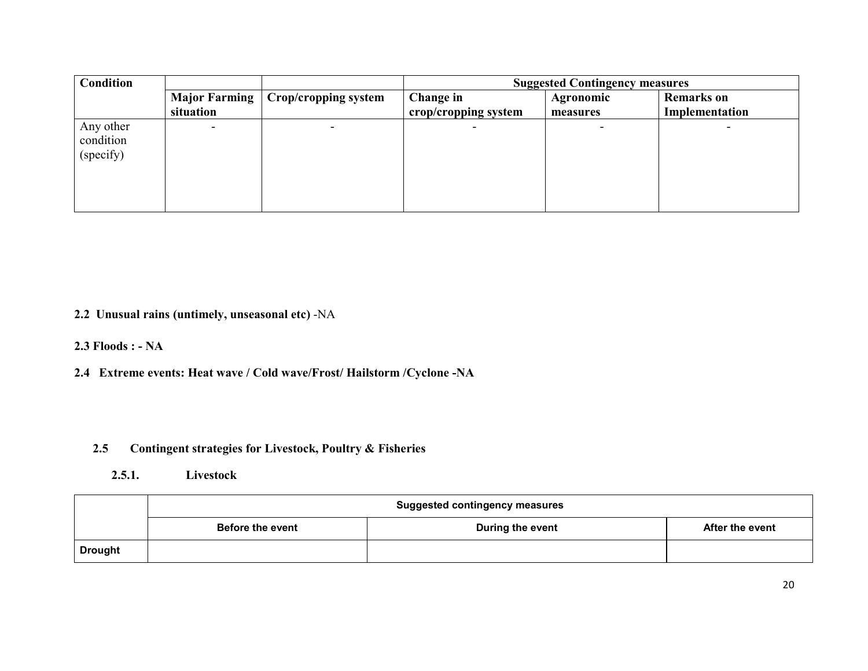| Condition |                          |                             |                      | <b>Suggested Contingency measures</b> |                   |
|-----------|--------------------------|-----------------------------|----------------------|---------------------------------------|-------------------|
|           | Major Farming            | <b>Crop/cropping system</b> | Change in            | <b>Agronomic</b>                      | <b>Remarks</b> on |
|           | situation                |                             | crop/cropping system | measures                              | Implementation    |
| Any other | $\overline{\phantom{0}}$ |                             |                      |                                       |                   |
| condition |                          |                             |                      |                                       |                   |
| (specify) |                          |                             |                      |                                       |                   |
|           |                          |                             |                      |                                       |                   |
|           |                          |                             |                      |                                       |                   |
|           |                          |                             |                      |                                       |                   |
|           |                          |                             |                      |                                       |                   |

2.2 Unusual rains (untimely, unseasonal etc) -NA

2.3 Floods : - NA

2.4 Extreme events: Heat wave / Cold wave/Frost/ Hailstorm /Cyclone -NA

#### 2.5Contingent strategies for Livestock, Poultry & Fisheries

2.5.1. Livestock

|                | <b>Suggested contingency measures</b> |                  |                        |
|----------------|---------------------------------------|------------------|------------------------|
|                | <b>Before the event</b>               | During the event | <b>After the event</b> |
| <b>Drought</b> |                                       |                  |                        |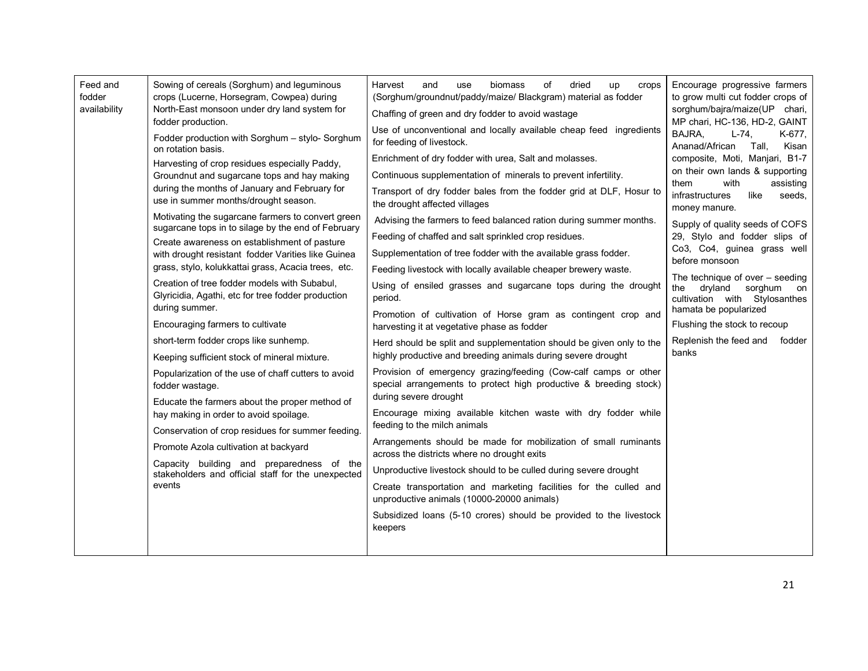| Feed and<br>fodder<br>availability | Sowing of cereals (Sorghum) and leguminous<br>crops (Lucerne, Horsegram, Cowpea) during<br>North-East monsoon under dry land system for<br>fodder production.<br>Fodder production with Sorghum - stylo- Sorghum<br>on rotation basis.<br>Harvesting of crop residues especially Paddy,<br>Groundnut and sugarcane tops and hay making<br>during the months of January and February for<br>use in summer months/drought season.<br>Motivating the sugarcane farmers to convert green<br>sugarcane tops in to silage by the end of February<br>Create awareness on establishment of pasture<br>with drought resistant fodder Varities like Guinea<br>grass, stylo, kolukkattai grass, Acacia trees, etc.<br>Creation of tree fodder models with Subabul,<br>Glyricidia, Agathi, etc for tree fodder production<br>during summer.<br>Encouraging farmers to cultivate<br>short-term fodder crops like sunhemp.<br>Keeping sufficient stock of mineral mixture.<br>Popularization of the use of chaff cutters to avoid<br>fodder wastage.<br>Educate the farmers about the proper method of<br>hay making in order to avoid spoilage.<br>Conservation of crop residues for summer feeding.<br>Promote Azola cultivation at backyard<br>Capacity building and preparedness of the<br>stakeholders and official staff for the unexpected<br>events | οf<br>Harvest<br>and<br>biomass<br>dried<br>use<br>up<br>crops<br>(Sorghum/groundnut/paddy/maize/ Blackgram) material as fodder<br>Chaffing of green and dry fodder to avoid wastage<br>Use of unconventional and locally available cheap feed ingredients<br>for feeding of livestock.<br>Enrichment of dry fodder with urea, Salt and molasses.<br>Continuous supplementation of minerals to prevent infertility.<br>Transport of dry fodder bales from the fodder grid at DLF, Hosur to<br>the drought affected villages<br>Advising the farmers to feed balanced ration during summer months.<br>Feeding of chaffed and salt sprinkled crop residues.<br>Supplementation of tree fodder with the available grass fodder.<br>Feeding livestock with locally available cheaper brewery waste.<br>Using of ensiled grasses and sugarcane tops during the drought<br>period.<br>Promotion of cultivation of Horse gram as contingent crop and<br>harvesting it at vegetative phase as fodder<br>Herd should be split and supplementation should be given only to the<br>highly productive and breeding animals during severe drought<br>Provision of emergency grazing/feeding (Cow-calf camps or other<br>special arrangements to protect high productive & breeding stock)<br>during severe drought<br>Encourage mixing available kitchen waste with dry fodder while<br>feeding to the milch animals<br>Arrangements should be made for mobilization of small ruminants<br>across the districts where no drought exits<br>Unproductive livestock should to be culled during severe drought<br>Create transportation and marketing facilities for the culled and<br>unproductive animals (10000-20000 animals)<br>Subsidized loans (5-10 crores) should be provided to the livestock<br>keepers | Encourage progressive farmers<br>to grow multi cut fodder crops of<br>sorghum/bajra/maize(UP chari,<br>MP chari, HC-136, HD-2, GAINT<br>BAJRA.<br>$L-74.$<br>K-677,<br>Ananad/African<br>Tall,<br>Kisan<br>composite, Moti, Manjari, B1-7<br>on their own lands & supporting<br>with<br>assisting<br>them<br>infrastructures<br>like<br>seeds,<br>money manure.<br>Supply of quality seeds of COFS<br>29, Stylo and fodder slips of<br>Co3, Co4, guinea grass well<br>before monsoon<br>The technique of over $-$ seeding<br>the<br>dryland<br>sorghum<br>on<br>cultivation with Stylosanthes<br>hamata be popularized<br>Flushing the stock to recoup<br>Replenish the feed and<br>fodder<br>banks |
|------------------------------------|-----------------------------------------------------------------------------------------------------------------------------------------------------------------------------------------------------------------------------------------------------------------------------------------------------------------------------------------------------------------------------------------------------------------------------------------------------------------------------------------------------------------------------------------------------------------------------------------------------------------------------------------------------------------------------------------------------------------------------------------------------------------------------------------------------------------------------------------------------------------------------------------------------------------------------------------------------------------------------------------------------------------------------------------------------------------------------------------------------------------------------------------------------------------------------------------------------------------------------------------------------------------------------------------------------------------------------------------------|---------------------------------------------------------------------------------------------------------------------------------------------------------------------------------------------------------------------------------------------------------------------------------------------------------------------------------------------------------------------------------------------------------------------------------------------------------------------------------------------------------------------------------------------------------------------------------------------------------------------------------------------------------------------------------------------------------------------------------------------------------------------------------------------------------------------------------------------------------------------------------------------------------------------------------------------------------------------------------------------------------------------------------------------------------------------------------------------------------------------------------------------------------------------------------------------------------------------------------------------------------------------------------------------------------------------------------------------------------------------------------------------------------------------------------------------------------------------------------------------------------------------------------------------------------------------------------------------------------------------------------------------------------------------------------------------------------------------------------------------------------------------------------------------------|-----------------------------------------------------------------------------------------------------------------------------------------------------------------------------------------------------------------------------------------------------------------------------------------------------------------------------------------------------------------------------------------------------------------------------------------------------------------------------------------------------------------------------------------------------------------------------------------------------------------------------------------------------------------------------------------------------|
|------------------------------------|-----------------------------------------------------------------------------------------------------------------------------------------------------------------------------------------------------------------------------------------------------------------------------------------------------------------------------------------------------------------------------------------------------------------------------------------------------------------------------------------------------------------------------------------------------------------------------------------------------------------------------------------------------------------------------------------------------------------------------------------------------------------------------------------------------------------------------------------------------------------------------------------------------------------------------------------------------------------------------------------------------------------------------------------------------------------------------------------------------------------------------------------------------------------------------------------------------------------------------------------------------------------------------------------------------------------------------------------------|---------------------------------------------------------------------------------------------------------------------------------------------------------------------------------------------------------------------------------------------------------------------------------------------------------------------------------------------------------------------------------------------------------------------------------------------------------------------------------------------------------------------------------------------------------------------------------------------------------------------------------------------------------------------------------------------------------------------------------------------------------------------------------------------------------------------------------------------------------------------------------------------------------------------------------------------------------------------------------------------------------------------------------------------------------------------------------------------------------------------------------------------------------------------------------------------------------------------------------------------------------------------------------------------------------------------------------------------------------------------------------------------------------------------------------------------------------------------------------------------------------------------------------------------------------------------------------------------------------------------------------------------------------------------------------------------------------------------------------------------------------------------------------------------------|-----------------------------------------------------------------------------------------------------------------------------------------------------------------------------------------------------------------------------------------------------------------------------------------------------------------------------------------------------------------------------------------------------------------------------------------------------------------------------------------------------------------------------------------------------------------------------------------------------------------------------------------------------------------------------------------------------|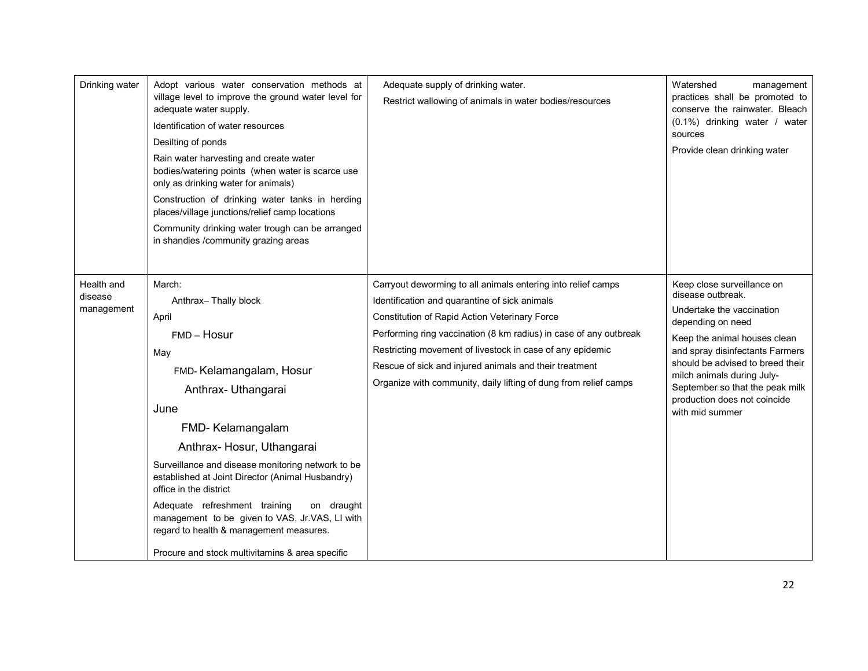| Drinking water                      | Adopt various water conservation methods at<br>village level to improve the ground water level for<br>adequate water supply.<br>Identification of water resources<br>Desilting of ponds<br>Rain water harvesting and create water<br>bodies/watering points (when water is scarce use<br>only as drinking water for animals)<br>Construction of drinking water tanks in herding<br>places/village junctions/relief camp locations<br>Community drinking water trough can be arranged<br>in shandies /community grazing areas | Adequate supply of drinking water.<br>Restrict wallowing of animals in water bodies/resources                                                                                                                                                                                                                                                                                                                                  | Watershed<br>management<br>practices shall be promoted to<br>conserve the rainwater. Bleach<br>(0.1%) drinking water / water<br>sources<br>Provide clean drinking water                                                                                                                                                      |
|-------------------------------------|------------------------------------------------------------------------------------------------------------------------------------------------------------------------------------------------------------------------------------------------------------------------------------------------------------------------------------------------------------------------------------------------------------------------------------------------------------------------------------------------------------------------------|--------------------------------------------------------------------------------------------------------------------------------------------------------------------------------------------------------------------------------------------------------------------------------------------------------------------------------------------------------------------------------------------------------------------------------|------------------------------------------------------------------------------------------------------------------------------------------------------------------------------------------------------------------------------------------------------------------------------------------------------------------------------|
| Health and<br>disease<br>management | March:<br>Anthrax-Thally block<br>April<br>FMD - Hosur<br>May<br>FMD-Kelamangalam, Hosur<br>Anthrax- Uthangarai<br>June<br>FMD-Kelamangalam<br>Anthrax- Hosur, Uthangarai<br>Surveillance and disease monitoring network to be<br>established at Joint Director (Animal Husbandry)<br>office in the district<br>Adequate refreshment training<br>on draught<br>management to be given to VAS, Jr.VAS, LI with<br>regard to health & management measures.<br>Procure and stock multivitamins & area specific                  | Carryout deworming to all animals entering into relief camps<br>Identification and quarantine of sick animals<br>Constitution of Rapid Action Veterinary Force<br>Performing ring vaccination (8 km radius) in case of any outbreak<br>Restricting movement of livestock in case of any epidemic<br>Rescue of sick and injured animals and their treatment<br>Organize with community, daily lifting of dung from relief camps | Keep close surveillance on<br>disease outbreak.<br>Undertake the vaccination<br>depending on need<br>Keep the animal houses clean<br>and spray disinfectants Farmers<br>should be advised to breed their<br>milch animals during July-<br>September so that the peak milk<br>production does not coincide<br>with mid summer |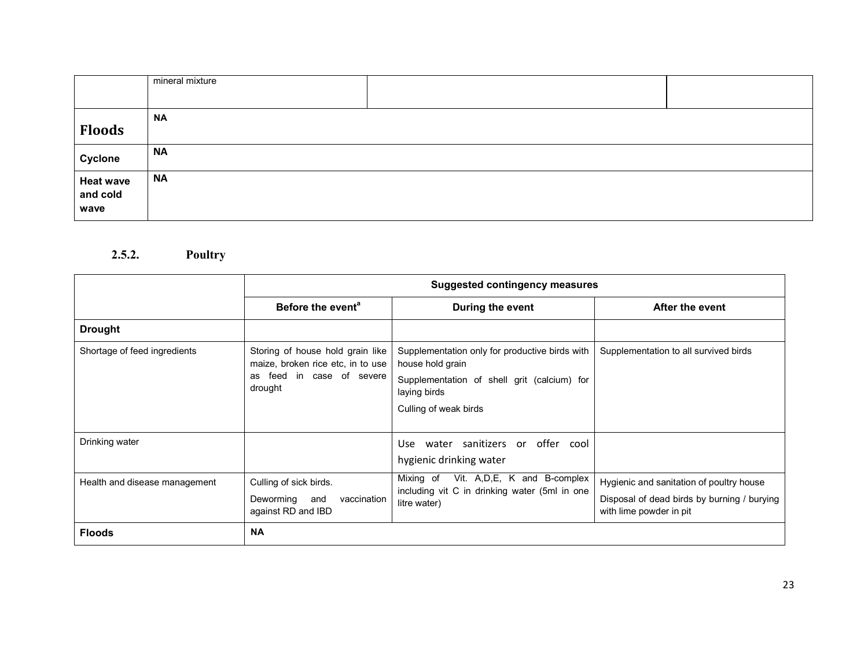|                  | mineral mixture |  |
|------------------|-----------------|--|
|                  |                 |  |
|                  | <b>NA</b>       |  |
| <b>Floods</b>    |                 |  |
| Cyclone          | <b>NA</b>       |  |
| <b>Heat wave</b> | <b>NA</b>       |  |
| and cold         |                 |  |
| wave             |                 |  |

#### 2.5.2. Poultry

|                               | <b>Suggested contingency measures</b>                                 |                                                                                             |                                                                        |
|-------------------------------|-----------------------------------------------------------------------|---------------------------------------------------------------------------------------------|------------------------------------------------------------------------|
|                               | Before the event <sup>a</sup>                                         | During the event                                                                            | After the event                                                        |
| <b>Drought</b>                |                                                                       |                                                                                             |                                                                        |
| Shortage of feed ingredients  | Storing of house hold grain like<br>maize, broken rice etc, in to use | Supplementation only for productive birds with<br>house hold grain                          | Supplementation to all survived birds                                  |
|                               | feed in case of severe<br>as<br>drought                               | Supplementation of shell grit (calcium) for<br>laying birds                                 |                                                                        |
|                               |                                                                       | Culling of weak birds                                                                       |                                                                        |
| Drinking water                |                                                                       | water sanitizers or offer cool<br>Use.                                                      |                                                                        |
|                               |                                                                       | hygienic drinking water                                                                     |                                                                        |
| Health and disease management | Culling of sick birds.                                                | Vit. A, D, E, K and B-complex<br>Mixing of<br>including vit C in drinking water (5ml in one | Hygienic and sanitation of poultry house                               |
|                               | Deworming<br>vaccination<br>and<br>against RD and IBD                 | litre water)                                                                                | Disposal of dead birds by burning / burying<br>with lime powder in pit |
| <b>Floods</b>                 | <b>NA</b>                                                             |                                                                                             |                                                                        |